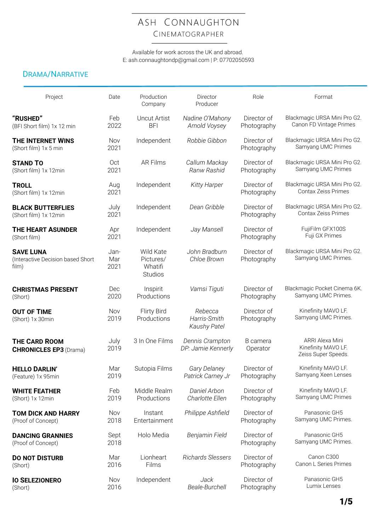# ASH CONNAUGHTON CINEMATOGRAPHER

Available for work across the UK and abroad. E: ash.connaughtondp@gmail.com | P: 07702050593

## DRAMA/NARRATIVE

| Project                                                        | Date                | Production<br>Company                               | Director<br>Producer                    | Role                       | Format                                                        |
|----------------------------------------------------------------|---------------------|-----------------------------------------------------|-----------------------------------------|----------------------------|---------------------------------------------------------------|
| "RUSHED"<br>(BFI Short film) 1x 12 min                         | Feb<br>2022         | <b>Uncut Artist</b><br><b>BFI</b>                   | Nadine O'Mahony<br>Arnold Voysey        | Director of<br>Photography | Blackmagic URSA Mini Pro G2.<br>Canon FD Vintage Primes       |
| THE INTERNET WINS<br>(Short film) 1x 5 min                     | Nov<br>2021         | Independent                                         | Robbie Gibbon                           | Director of<br>Photography | Blackmagic URSA Mini Pro G2.<br>Samyang UMC Primes            |
| <b>STAND TO</b><br>(Short film) 1x 12min                       | Oct<br>2021         | <b>AR Films</b>                                     | Callum Mackay<br>Ranw Rashid            | Director of<br>Photography | Blackmagic URSA Mini Pro G2.<br>Samyang UMC Primes            |
| <b>TROLL</b><br>(Short film) 1x 12min                          | Aug<br>2021         | Independent                                         | <b>Kitty Harper</b>                     | Director of<br>Photography | Blackmagic URSA Mini Pro G2.<br>Contax Zeiss Primes           |
| <b>BLACK BUTTERFLIES</b><br>(Short film) 1x 12min              | July<br>2021        | Independent                                         | Dean Gribble                            | Director of<br>Photography | Blackmagic URSA Mini Pro G2.<br>Contax Zeiss Primes           |
| <b>THE HEART ASUNDER</b><br>(Short film)                       | Apr<br>2021         | Independent                                         | Jay Mansell                             | Director of<br>Photography | FujiFilm GFX100S<br>Fuji GX Primes                            |
| <b>SAVE LUNA</b><br>(Interactive Decision based Short<br>film) | Jan-<br>Mar<br>2021 | Wild Kate<br>Pictures/<br>Whatifi<br><b>Studios</b> | John Bradburn<br>Chloe Brown            | Director of<br>Photography | Blackmagic URSA Mini Pro G2.<br>Samyang UMC Primes.           |
| <b>CHRISTMAS PRESENT</b><br>(Short)                            | Dec<br>2020         | Inspirit<br>Productions                             | Vamsi Tiguti                            | Director of<br>Photography | Blackmagic Pocket Cinema 6K.<br>Samyang UMC Primes.           |
| <b>OUT OF TIME</b><br>(Short) 1x 30min                         | Nov<br>2019         | Flirty Bird<br>Productions                          | Rebecca<br>Harris-Smith<br>Kaushy Patel | Director of<br>Photography | Kinefinity MAVO LF.<br>Samyang UMC Primes.                    |
| <b>THE CARD ROOM</b><br><b>CHRONICLES EP3 (Drama)</b>          | July<br>2019        | 3 In One Films                                      | Dennis Crampton<br>DP: Jamie Kennerly   | B camera<br>Operator       | ARRI Alexa Mini<br>Kinefinity MAVO LF.<br>Zeiss Super Speeds. |
| <b>HELLO DARLIN'</b><br>(Feature) 1x 95min                     | Mar<br>2019         | Sutopia Films                                       | Gary Delaney<br>Patrick Carney Jr       | Director of<br>Photography | Kinefinity MAVO LF.<br>Samyang Xeen Lenses                    |
| <b>WHITE FEATHER</b><br>(Short) 1x 12min                       | Feb<br>2019         | Middle Realm<br>Productions                         | Daniel Arbon<br>Charlotte Ellen         | Director of<br>Photography | Kinefinity MAVO LF.<br>Samyang UMC Primes                     |
| <b>TOM DICK AND HARRY</b><br>(Proof of Concept)                | Nov<br>2018         | Instant<br>Entertainment                            | Philippe Ashfield                       | Director of<br>Photography | Panasonic GH5<br>Samyang UMC Primes.                          |
| <b>DANCING GRANNIES</b><br>(Proof of Concept)                  | Sept<br>2018        | Holo Media                                          | Benjamin Field                          | Director of<br>Photography | Panasonic GH5<br>Samyang UMC Primes.                          |
| <b>DO NOT DISTURB</b><br>(Short)                               | Mar<br>2016         | Lionheart<br>Films                                  | Richards Slessers                       | Director of<br>Photography | Canon C300<br>Canon L Series Primes                           |
| <b>IO SELEZIONERO</b><br>(Short)                               | Nov<br>2016         | Independent                                         | Jack<br>Beale-Burchell                  | Director of<br>Photography | Panasonic GH5<br>Lumix Lenses                                 |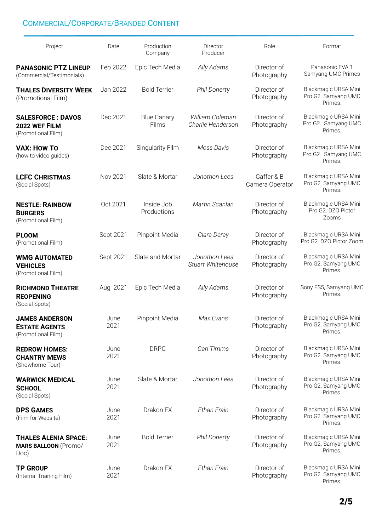### COMMERCIAL/CORPORATE/BRANDED CONTENT

| Project                                                             | Date         | Production<br>Company       | Director<br>Producer                 | Role                          | Format                                                 |
|---------------------------------------------------------------------|--------------|-----------------------------|--------------------------------------|-------------------------------|--------------------------------------------------------|
| <b>PANASONIC PTZ LINEUP</b><br>(Commercial/Testimonials)            | Feb 2022     | Epic Tech Media             | Ally Adams                           | Director of<br>Photography    | Panasonic EVA 1<br>Samyang UMC Primes                  |
| <b>THALES DIVERSITY WEEK</b><br>(Promotional Film)                  | Jan 2022     | <b>Bold Terrier</b>         | <b>Phil Doherty</b>                  | Director of<br>Photography    | Blackmagic URSA Mini<br>Pro G2. Samyang UMC<br>Primes. |
| <b>SALESFORCE: DAVOS</b><br>2022 WEF FILM<br>(Promotional Film)     | Dec 2021     | <b>Blue Canary</b><br>Films | William Coleman<br>Charlie Henderson | Director of<br>Photography    | Blackmagic URSA Mini<br>Pro G2. Samyang UMC<br>Primes. |
| <b>VAX: HOW TO</b><br>(how to video guides)                         | Dec 2021     | Singularity Film            | Moss Davis                           | Director of<br>Photography    | Blackmagic URSA Mini<br>Pro G2. Samyang UMC<br>Primes. |
| <b>LCFC CHRISTMAS</b><br>(Social Spots)                             | Nov 2021     | Slate & Mortar              | Jonothon Lees                        | Gaffer & B<br>Camera Operator | Blackmagic URSA Mini<br>Pro G2. Samyang UMC<br>Primes. |
| <b>NESTLE: RAINBOW</b><br><b>BURGERS</b><br>(Promotional Film)      | Oct 2021     | Inside Job<br>Productions   | Martin Scanlan                       | Director of<br>Photography    | Blackmagic URSA Mini<br>Pro G2. DZO Pictor<br>Zooms    |
| <b>PLOOM</b><br>(Promotional Film)                                  | Sept 2021    | Pinpoint Media              | Clara Deray                          | Director of<br>Photography    | Blackmagic URSA Mini<br>Pro G2. DZO Pictor Zoom        |
| <b>WMG AUTOMATED</b><br><b>VEHICLES</b><br>(Promotional Film)       | Sept 2021    | Slate and Mortar            | Jonothon Lees<br>Stuart Whitehouse   | Director of<br>Photography    | Blackmagic URSA Mini<br>Pro G2. Samyang UMC<br>Primes. |
| <b>RICHMOND THEATRE</b><br><b>REOPENING</b><br>(Social Spots)       | Aug 2021     | Epic Tech Media             | Ally Adams                           | Director of<br>Photography    | Sony FS5, Samyang UMC<br>Primes.                       |
| <b>JAMES ANDERSON</b><br><b>ESTATE AGENTS</b><br>(Promotional Film) | June<br>2021 | Pinpoint Media              | Max Evans                            | Director of<br>Photography    | Blackmagic URSA Mini<br>Pro G2. Samyang UMC<br>Primes. |
| <b>REDROW HOMES:</b><br><b>CHANTRY MEWS</b><br>(Showhome Tour)      | June<br>2021 | <b>DRPG</b>                 | Carl Timms                           | Director of<br>Photography    | Blackmagic URSA Mini<br>Pro G2. Samyang UMC<br>Primes. |
| <b>WARWICK MEDICAL</b><br><b>SCHOOL</b><br>(Social Spots)           | June<br>2021 | Slate & Mortar              | Jonothon Lees                        | Director of<br>Photography    | Blackmagic URSA Mini<br>Pro G2. Samyang UMC<br>Primes. |
| <b>DPS GAMES</b><br>(Film for Website)                              | June<br>2021 | Drakon FX                   | Ethan Frain                          | Director of<br>Photography    | Blackmagic URSA Mini<br>Pro G2. Samyang UMC<br>Primes. |
| <b>THALES ALENIA SPACE:</b><br><b>MARS BALLOON (Promo/</b><br>Doc)  | June<br>2021 | <b>Bold Terrier</b>         | <b>Phil Doherty</b>                  | Director of<br>Photography    | Blackmagic URSA Mini<br>Pro G2. Samyang UMC<br>Primes. |
| <b>TP GROUP</b><br>(Internal Training Film)                         | June<br>2021 | Drakon FX                   | Ethan Frain                          | Director of<br>Photography    | Blackmagic URSA Mini<br>Pro G2. Samyang UMC<br>Primes. |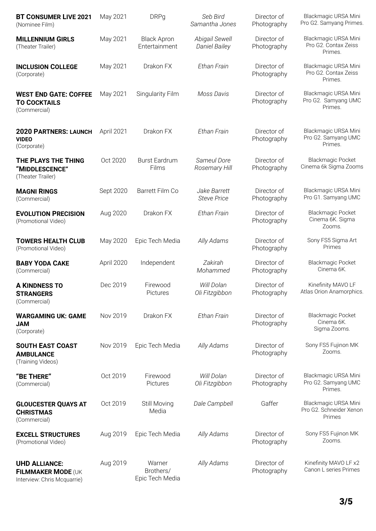| <b>BT CONSUMER LIVE 2021</b><br>(Nominee Film)                            | May 2021   | <b>DRPg</b>                            | Seb Bird<br>Samantha Jones             | Director of<br>Photography | Blackmagic URSA Mini<br>Pro G2. Samyang Primes.           |
|---------------------------------------------------------------------------|------------|----------------------------------------|----------------------------------------|----------------------------|-----------------------------------------------------------|
| <b>MILLENNIUM GIRLS</b><br>(Theater Trailer)                              | May 2021   | <b>Black Apron</b><br>Entertainment    | Abigail Sewell<br><b>Daniel Bailey</b> | Director of<br>Photography | Blackmagic URSA Mini<br>Pro G2. Contax Zeiss<br>Primes.   |
| <b>INCLUSION COLLEGE</b><br>(Corporate)                                   | May 2021   | Drakon FX                              | Ethan Frain                            | Director of<br>Photography | Blackmagic URSA Mini<br>Pro G2. Contax Zeiss<br>Primes.   |
| <b>WEST END GATE: COFFEE</b><br><b>TO COCKTAILS</b><br>(Commercial)       | May 2021   | Singularity Film                       | Moss Davis                             | Director of<br>Photography | Blackmagic URSA Mini<br>Pro G2. Samyang UMC<br>Primes.    |
| <b>2020 PARTNERS: LAUNCH</b><br><b>VIDEO</b><br>(Corporate)               | April 2021 | Drakon FX                              | <b>Ethan Frain</b>                     | Director of<br>Photography | Blackmagic URSA Mini<br>Pro G2. Samyang UMC<br>Primes.    |
| THE PLAYS THE THING<br>"MIDDLESCENCE"<br>(Theater Trailer)                | Oct 2020   | <b>Burst Eardrum</b><br>Films          | Sameul Dore<br>Rosemary Hill           | Director of<br>Photography | <b>Blackmagic Pocket</b><br>Cinema 6k Sigma Zooms         |
| <b>MAGNI RINGS</b><br>(Commercial)                                        | Sept 2020  | Barrett Film Co                        | Jake Barrett<br><b>Steve Price</b>     | Director of<br>Photography | Blackmagic URSA Mini<br>Pro G1. Samyang UMC               |
| <b>EVOLUTION PRECISION</b><br>(Promotional Video)                         | Aug 2020   | Drakon FX                              | Ethan Frain                            | Director of<br>Photography | <b>Blackmagic Pocket</b><br>Cinema 6K. Sigma<br>Zooms.    |
| <b>TOWERS HEALTH CLUB</b><br>(Promotional Video)                          | May 2020   | Epic Tech Media                        | Ally Adams                             | Director of<br>Photography | Sony FS5 Sigma Art<br>Primes                              |
| <b>BABY YODA CAKE</b><br>(Commercial)                                     | April 2020 | Independent                            | Zakirah<br>Mohammed                    | Director of<br>Photography | <b>Blackmagic Pocket</b><br>Cinema 6K.                    |
| <b>A KINDNESS TO</b><br><b>STRANGERS</b><br>(Commercial)                  | Dec 2019   | Firewood<br>Pictures                   | Will Dolan<br>Oli Fitzgibbon           | Director of<br>Photography | Kinefinity MAVO LF<br>Atlas Orion Anamorphics.            |
| <b>WARGAMING UK: GAME</b><br><b>NAU</b><br>(Corporate)                    | Nov 2019   | Drakon FX                              | Ethan Frain                            | Director of<br>Photography | <b>Blackmagic Pocket</b><br>Cinema 6K.<br>Sigma Zooms.    |
| <b>SOUTH EAST COAST</b><br><b>AMBULANCE</b><br>(Training Videos)          | Nov 2019   | Epic Tech Media                        | Ally Adams                             | Director of<br>Photography | Sony FS5 Fujinon MK<br>Zooms.                             |
| "BE THERE"<br>(Commercial)                                                | Oct 2019   | Firewood<br>Pictures                   | Will Dolan<br>Oli Fitzgibbon           | Director of<br>Photography | Blackmagic URSA Mini<br>Pro G2. Samyang UMC<br>Primes.    |
| <b>GLOUCESTER QUAYS AT</b><br><b>CHRISTMAS</b><br>(Commercial)            | Oct 2019   | Still Moving<br>Media                  | Dale Campbell                          | Gaffer                     | Blackmagic URSA Mini<br>Pro G2. Schneider Xenon<br>Primes |
| <b>EXCELL STRUCTURES</b><br>(Promotional Video)                           | Aug 2019   | Epic Tech Media                        | Ally Adams                             | Director of<br>Photography | Sony FS5 Fujinon MK<br>Zooms.                             |
| <b>UHD ALLIANCE:</b><br>FILMMAKER MODE (UK<br>Interview: Chris Mcquarrie) | Aug 2019   | Warner<br>Brothers/<br>Epic Tech Media | Ally Adams                             | Director of<br>Photography | Kinefinity MAVO LF x2<br>Canon L series Primes            |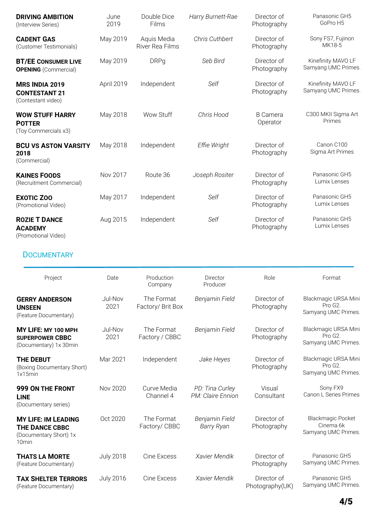| <b>DRIVING AMBITION</b><br>(Interview Series)                                                      | June<br>2019     | Double Dice<br>Films            | Harry Burnett-Rae                    | Director of<br>Photography     | Panasonic GH5<br>GoPro H5                                         |
|----------------------------------------------------------------------------------------------------|------------------|---------------------------------|--------------------------------------|--------------------------------|-------------------------------------------------------------------|
| <b>CADENT GAS</b><br>(Customer Testimonials)                                                       | May 2019         | Aquis Media<br>River Rea Films  | Chris Cuthbert                       | Director of<br>Photography     | Sony FS7, Fujinon<br>MK18-5                                       |
| <b>BT/EE CONSUMER LIVE</b><br><b>OPENING</b> (Commercial)                                          | May 2019         | <b>DRPg</b>                     | Seb Bird                             | Director of<br>Photography     | Kinefinity MAVO LF<br>Samyang UMC Primes.                         |
| <b>MRS INDIA 2019</b><br><b>CONTESTANT 21</b><br>(Contestant video)                                | April 2019       | Independent                     | Self                                 | Director of<br>Photography     | Kinefinity MAVO LF<br>Samyang UMC Primes.                         |
| <b>WOW STUFF HARRY</b><br><b>POTTER</b><br>(Toy Commercials x3)                                    | May 2018         | Wow Stuff                       | Chris Hood                           | <b>B</b> Camera<br>Operator    | C300 MKII Sigma Art<br>Primes                                     |
| <b>BCU VS ASTON VARSITY</b><br>2018<br>(Commercial)                                                | May 2018         | Independent                     | Effie Wright                         | Director of<br>Photography     | Canon C100<br>Sigma Art Primes                                    |
| <b>KAINES FOODS</b><br>(Recruitment Commercial)                                                    | Nov 2017         | Route 36                        | Joseph Rositer                       | Director of<br>Photography     | Panasonic GH5<br>Lumix Lenses                                     |
| <b>EXOTIC ZOO</b><br>(Promotional Video)                                                           | May 2017         | Independent                     | Self                                 | Director of<br>Photography     | Panasonic GH5<br>Lumix Lenses                                     |
| <b>ROZIE T DANCE</b><br><b>ACADEMY</b><br>(Promotional Video)                                      | Aug 2015         | Independent                     | Self                                 | Director of<br>Photography     | Panasonic GH5<br>Lumix Lenses                                     |
| <b>DOCUMENTARY</b>                                                                                 |                  |                                 |                                      |                                |                                                                   |
| Project                                                                                            | Date             | Production<br>Company           | Director<br>Producer                 | Role                           | Format                                                            |
| <b>GERRY ANDERSON</b><br><b>UNSEEN</b><br>(Feature Documentary)                                    | Jul-Nov<br>2021  | The Format<br>Factory/ Brit Box | Benjamin Field                       | Director of<br>Photography     | Blackmagic URSA Mini<br>Pro G2.<br>Samyang UMC Primes.            |
| MY LIFE: MY 100 MPH<br><b>SUPERPOWER CBBC</b><br>(Documentary) 1x 30min                            | Jul-Nov<br>2021  | The Format<br>Factory / CBBC    | Benjamin Field                       | Director of<br>Photography     | Blackmagic URSA Mini<br>Pro G <sub>2</sub><br>Samyang UMC Primes. |
| <b>THE DEBUT</b><br>(Boxing Documentary Short)<br>1x15min                                          | Mar 2021         | Independent                     | Jake Heyes                           | Director of<br>Photography     | Blackmagic URSA Mini<br>Pro G2.<br>Samyang UMC Primes.            |
| 999 ON THE FRONT<br><b>LINE</b><br>(Documentary series)                                            | Nov 2020         | Curve Media<br>Channel 4        | PD: Tina Curley<br>PM: Claire Ennion | Visual<br>Consultant           | Sony FX9<br>Canon L Series Primes                                 |
| <b>MY LIFE: IM LEADING</b><br><b>THE DANCE CBBC</b><br>(Documentary Short) 1x<br>10 <sub>min</sub> | Oct 2020         | The Format<br>Factory/ CBBC     | Benjamin Field<br><b>Barry Ryan</b>  | Director of<br>Photography     | <b>Blackmagic Pocket</b><br>Cinema 6k<br>Samyang UMC Primes.      |
| <b>THATS LA MORTE</b><br>(Feature Documentary)                                                     | <b>July 2018</b> | Cine Excess                     | Xavier Mendik                        | Director of<br>Photography     | Panasonic GH5<br>Samyang UMC Primes.                              |
| <b>TAX SHELTER TERRORS</b><br>(Feature Documentary)                                                | <b>July 2016</b> | Cine Excess                     | Xavier Mendik                        | Director of<br>Photography(UK) | Panasonic GH5<br>Samyang UMC Primes.                              |